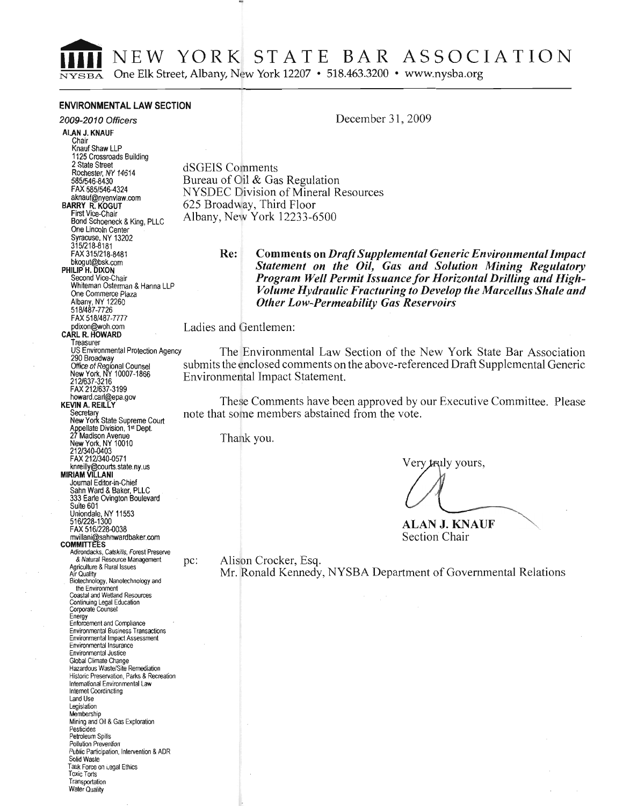NEW YORK STATE BAR ASSOCIATION

One Elk Street, Albany, New York 12207 • 518.463.3200 • www.nysba.org

#### **ENVIRONMENTAL LAW SECTION**

#### 2009-2010 Officers

December 31, 2009

ALAN J. KNAUF Chair Knauf Shaw LLP 1125 Crossroads Building 2 State Street Rochester, NY 14614 585/546-8430 FAX 585/546-4324 aknauf@nyenvlaw.com **RARRY R KOGUT** First Vice-Chair Bond Schoeneck & King, PLLC One Lincoln Center Syracuse, NY 13202 315/218-8181 FAX 315/218-8481 bkogut@bsk.com<br>PHILIP H. DIXON Second Vice-Chair Whiteman Osterman & Hanna LLP One Commerce Plaza Albany, NY 12260<br>518/487-7726 FAX 518/487-7777 pdixon@woh.com CARL R. HOWARD Treasurer US Environmental Protection Agency 290 Broadway Office of Regional Counsel<br>New York, NY 10007-1866 212/637-3216 FAX 212/637-3199 howard.carl@epa.gov **KEVIN A. REILLY** Secretary<br>
New York State Supreme Court<br>
Appellate Division, 1st Dept.<br>
27 Madison Avenue New York, NY 10010 212/340-0403<br>FAX 212/340-0571 knreilly@courts.state.ny.us **MIRIAM VII I ANI** Journal Editor-in-Chief Sahn Ward & Baker, PLLC<br>333 Earle Ovington Boulevard Suite 601 Uniondale, NY 11553 516/228-1300 FAX 516/228-0038 mvillani@sahnwardbaker.com **COMMITTEES** Adirondacks, Catskills, Forest Preserve & Natural Resource Management pc: Agriculture & Rural Issues Air Quality Biotechnology, Nanotechnology and the Environment<br>Coastal and Wetland Resources Continuing Legal Education Corporate Counsel<br>
Energy<br>
Enforcement and Compliance Environmental Business Transactions Environmental Impact Assessment Environmental Insurance **Environmental Justice** Global Climate Change Hazardous Waste/Site Remediation Historic Preservation, Parks & Recreation International Environmental Law Internet Coordinating Land Use Legislation Membership Mining and Oil & Gas Exploration Pesticides Petroleum Spills Pollution Prevention

Public Participation, Intervention & ADR

Solid Waste Task Force on Legal Ethics **Toxic Torts** Transportation Water Quality

dSGEIS Comments Bureau of Oil & Gas Regulation **NYSDEC Division of Mineral Resources** 625 Broadway, Third Floor Albany, New York 12233-6500

> **Comments on Draft Supplemental Generic Environmental Impact** Re: Statement on the Oil, Gas and Solution Mining Regulatory Program Well Permit Issuance for Horizontal Drilling and High-Volume Hydraulic Fracturing to Develop the Marcellus Shale and **Other Low-Permeability Gas Reservoirs**

Ladies and Gentlemen:

The Environmental Law Section of the New York State Bar Association submits the enclosed comments on the above-referenced Draft Supplemental Generic Environmental Impact Statement.

These Comments have been approved by our Executive Committee. Please note that some members abstained from the vote.

Thank you.

Very truly yours,

ALAN J. KNAUF Section Chair

Alison Crocker, Esq.

Mr. Ronald Kennedy, NYSBA Department of Governmental Relations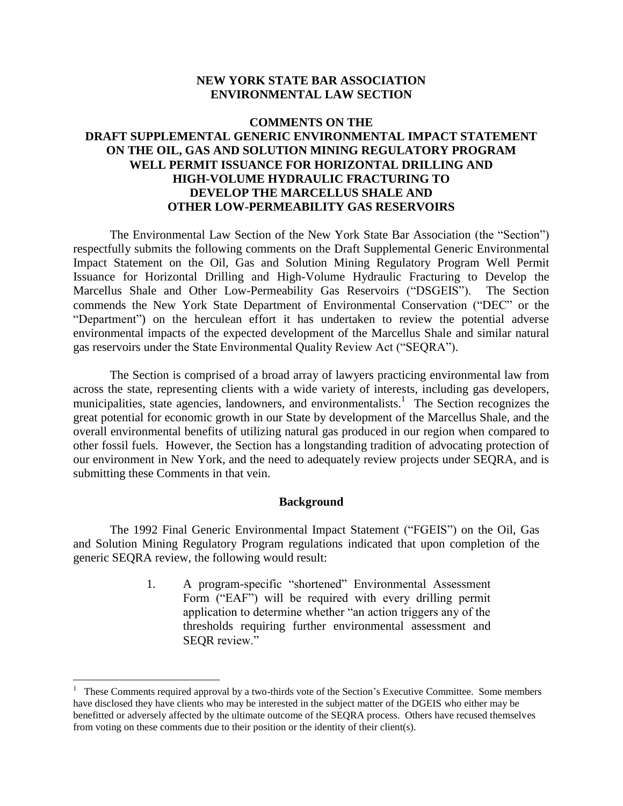## **NEW YORK STATE BAR ASSOCIATION ENVIRONMENTAL LAW SECTION**

# **COMMENTS ON THE DRAFT SUPPLEMENTAL GENERIC ENVIRONMENTAL IMPACT STATEMENT ON THE OIL, GAS AND SOLUTION MINING REGULATORY PROGRAM WELL PERMIT ISSUANCE FOR HORIZONTAL DRILLING AND HIGH-VOLUME HYDRAULIC FRACTURING TO DEVELOP THE MARCELLUS SHALE AND OTHER LOW-PERMEABILITY GAS RESERVOIRS**

The Environmental Law Section of the New York State Bar Association (the "Section") respectfully submits the following comments on the Draft Supplemental Generic Environmental Impact Statement on the Oil, Gas and Solution Mining Regulatory Program Well Permit Issuance for Horizontal Drilling and High-Volume Hydraulic Fracturing to Develop the Marcellus Shale and Other Low-Permeability Gas Reservoirs ("DSGEIS"). The Section commends the New York State Department of Environmental Conservation ("DEC" or the "Department") on the herculean effort it has undertaken to review the potential adverse environmental impacts of the expected development of the Marcellus Shale and similar natural gas reservoirs under the State Environmental Quality Review Act ("SEQRA").

The Section is comprised of a broad array of lawyers practicing environmental law from across the state, representing clients with a wide variety of interests, including gas developers, municipalities, state agencies, landowners, and environmentalists.<sup>1</sup> The Section recognizes the great potential for economic growth in our State by development of the Marcellus Shale, and the overall environmental benefits of utilizing natural gas produced in our region when compared to other fossil fuels. However, the Section has a longstanding tradition of advocating protection of our environment in New York, and the need to adequately review projects under SEQRA, and is submitting these Comments in that vein.

#### **Background**

The 1992 Final Generic Environmental Impact Statement ("FGEIS") on the Oil, Gas and Solution Mining Regulatory Program regulations indicated that upon completion of the generic SEQRA review, the following would result:

> 1. A program-specific "shortened" Environmental Assessment Form ("EAF") will be required with every drilling permit application to determine whether "an action triggers any of the thresholds requiring further environmental assessment and SEQR review."

 $\overline{a}$ 

<sup>&</sup>lt;sup>1</sup> These Comments required approval by a two-thirds vote of the Section's Executive Committee. Some members have disclosed they have clients who may be interested in the subject matter of the DGEIS who either may be benefitted or adversely affected by the ultimate outcome of the SEQRA process. Others have recused themselves from voting on these comments due to their position or the identity of their client(s).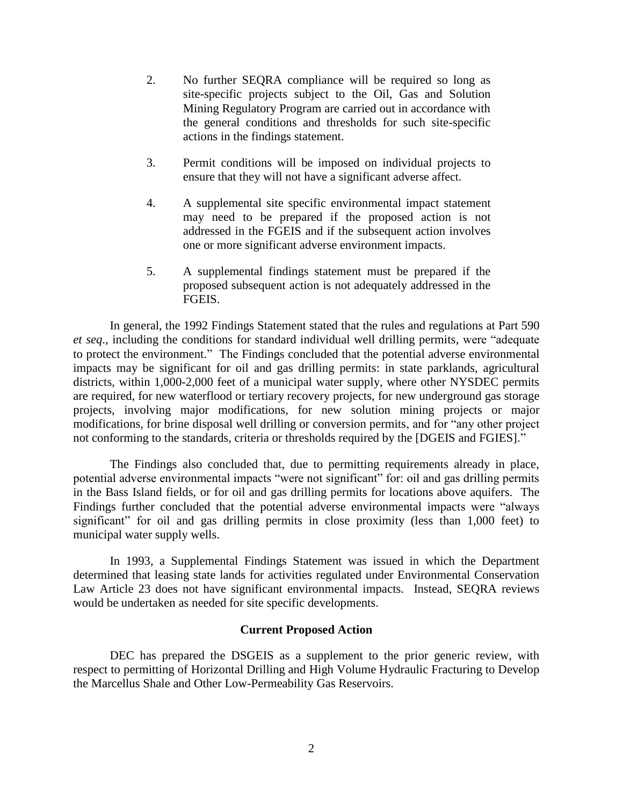- 2. No further SEQRA compliance will be required so long as site-specific projects subject to the Oil, Gas and Solution Mining Regulatory Program are carried out in accordance with the general conditions and thresholds for such site-specific actions in the findings statement.
- 3. Permit conditions will be imposed on individual projects to ensure that they will not have a significant adverse affect.
- 4. A supplemental site specific environmental impact statement may need to be prepared if the proposed action is not addressed in the FGEIS and if the subsequent action involves one or more significant adverse environment impacts.
- 5. A supplemental findings statement must be prepared if the proposed subsequent action is not adequately addressed in the FGEIS.

In general, the 1992 Findings Statement stated that the rules and regulations at Part 590 *et seq*., including the conditions for standard individual well drilling permits, were "adequate to protect the environment." The Findings concluded that the potential adverse environmental impacts may be significant for oil and gas drilling permits: in state parklands, agricultural districts, within 1,000-2,000 feet of a municipal water supply, where other NYSDEC permits are required, for new waterflood or tertiary recovery projects, for new underground gas storage projects, involving major modifications, for new solution mining projects or major modifications, for brine disposal well drilling or conversion permits, and for "any other project not conforming to the standards, criteria or thresholds required by the [DGEIS and FGIES]."

The Findings also concluded that, due to permitting requirements already in place, potential adverse environmental impacts "were not significant" for: oil and gas drilling permits in the Bass Island fields, or for oil and gas drilling permits for locations above aquifers. The Findings further concluded that the potential adverse environmental impacts were "always significant" for oil and gas drilling permits in close proximity (less than 1,000 feet) to municipal water supply wells.

In 1993, a Supplemental Findings Statement was issued in which the Department determined that leasing state lands for activities regulated under Environmental Conservation Law Article 23 does not have significant environmental impacts. Instead, SEQRA reviews would be undertaken as needed for site specific developments.

#### **Current Proposed Action**

DEC has prepared the DSGEIS as a supplement to the prior generic review, with respect to permitting of Horizontal Drilling and High Volume Hydraulic Fracturing to Develop the Marcellus Shale and Other Low-Permeability Gas Reservoirs.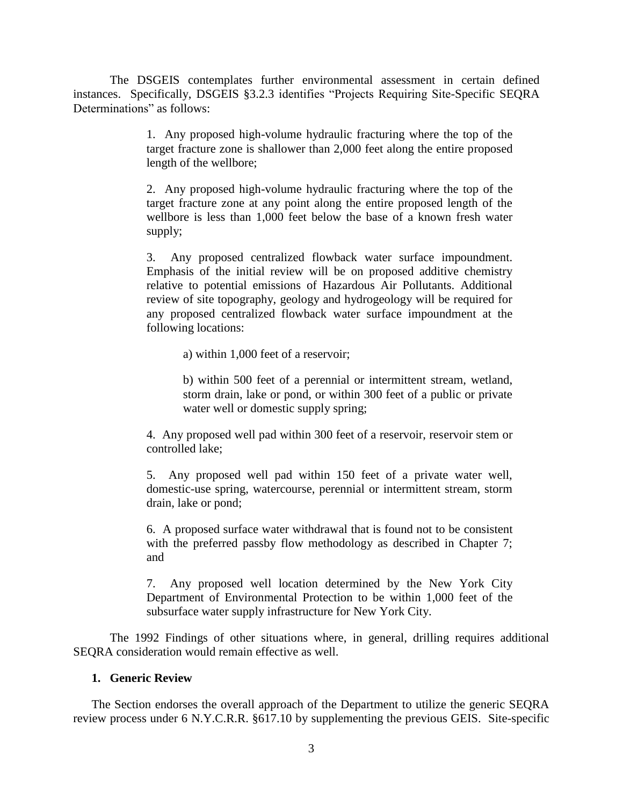The DSGEIS contemplates further environmental assessment in certain defined instances. Specifically, DSGEIS §3.2.3 identifies "Projects Requiring Site-Specific SEQRA Determinations" as follows:

> 1. Any proposed high-volume hydraulic fracturing where the top of the target fracture zone is shallower than 2,000 feet along the entire proposed length of the wellbore;

> 2. Any proposed high-volume hydraulic fracturing where the top of the target fracture zone at any point along the entire proposed length of the wellbore is less than 1,000 feet below the base of a known fresh water supply;

> 3. Any proposed centralized flowback water surface impoundment. Emphasis of the initial review will be on proposed additive chemistry relative to potential emissions of Hazardous Air Pollutants. Additional review of site topography, geology and hydrogeology will be required for any proposed centralized flowback water surface impoundment at the following locations:

> > a) within 1,000 feet of a reservoir;

b) within 500 feet of a perennial or intermittent stream, wetland, storm drain, lake or pond, or within 300 feet of a public or private water well or domestic supply spring;

4. Any proposed well pad within 300 feet of a reservoir, reservoir stem or controlled lake;

5. Any proposed well pad within 150 feet of a private water well, domestic-use spring, watercourse, perennial or intermittent stream, storm drain, lake or pond;

6. A proposed surface water withdrawal that is found not to be consistent with the preferred passby flow methodology as described in Chapter 7; and

7. Any proposed well location determined by the New York City Department of Environmental Protection to be within 1,000 feet of the subsurface water supply infrastructure for New York City.

The 1992 Findings of other situations where, in general, drilling requires additional SEQRA consideration would remain effective as well.

## **1. Generic Review**

The Section endorses the overall approach of the Department to utilize the generic SEQRA review process under 6 N.Y.C.R.R. §617.10 by supplementing the previous GEIS. Site-specific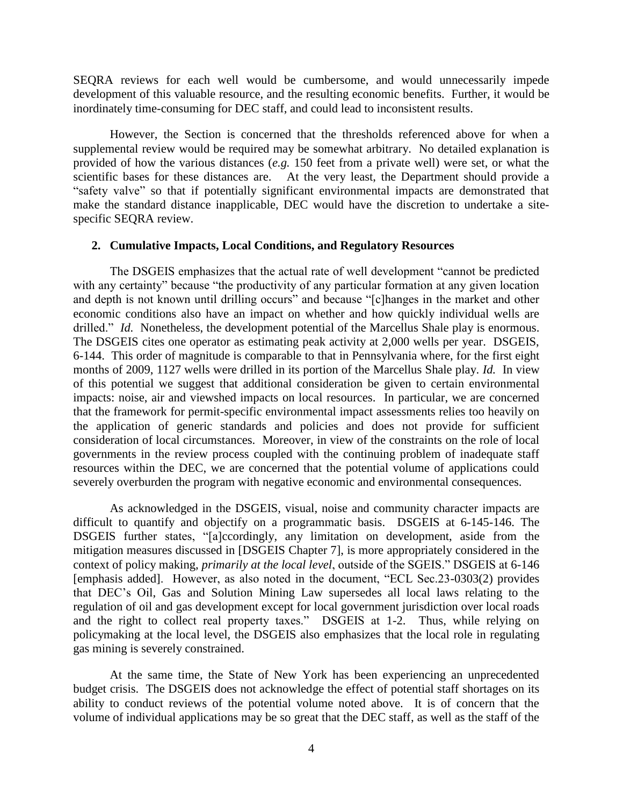SEQRA reviews for each well would be cumbersome, and would unnecessarily impede development of this valuable resource, and the resulting economic benefits. Further, it would be inordinately time-consuming for DEC staff, and could lead to inconsistent results.

However, the Section is concerned that the thresholds referenced above for when a supplemental review would be required may be somewhat arbitrary. No detailed explanation is provided of how the various distances (*e.g.* 150 feet from a private well) were set, or what the scientific bases for these distances are. At the very least, the Department should provide a "safety valve" so that if potentially significant environmental impacts are demonstrated that make the standard distance inapplicable, DEC would have the discretion to undertake a sitespecific SEQRA review.

#### **2. Cumulative Impacts, Local Conditions, and Regulatory Resources**

The DSGEIS emphasizes that the actual rate of well development "cannot be predicted with any certainty" because "the productivity of any particular formation at any given location and depth is not known until drilling occurs" and because "[c]hanges in the market and other economic conditions also have an impact on whether and how quickly individual wells are drilled." *Id.* Nonetheless, the development potential of the Marcellus Shale play is enormous. The DSGEIS cites one operator as estimating peak activity at 2,000 wells per year. DSGEIS, 6-144. This order of magnitude is comparable to that in Pennsylvania where, for the first eight months of 2009, 1127 wells were drilled in its portion of the Marcellus Shale play. *Id.* In view of this potential we suggest that additional consideration be given to certain environmental impacts: noise, air and viewshed impacts on local resources. In particular, we are concerned that the framework for permit-specific environmental impact assessments relies too heavily on the application of generic standards and policies and does not provide for sufficient consideration of local circumstances. Moreover, in view of the constraints on the role of local governments in the review process coupled with the continuing problem of inadequate staff resources within the DEC, we are concerned that the potential volume of applications could severely overburden the program with negative economic and environmental consequences.

As acknowledged in the DSGEIS, visual, noise and community character impacts are difficult to quantify and objectify on a programmatic basis. DSGEIS at 6-145-146. The DSGEIS further states, "[a]ccordingly, any limitation on development, aside from the mitigation measures discussed in [DSGEIS Chapter 7], is more appropriately considered in the context of policy making, *primarily at the local level*, outside of the SGEIS." DSGEIS at 6-146 [emphasis added]. However, as also noted in the document, "ECL Sec.23-0303(2) provides that DEC's Oil, Gas and Solution Mining Law supersedes all local laws relating to the regulation of oil and gas development except for local government jurisdiction over local roads and the right to collect real property taxes." DSGEIS at 1-2. Thus, while relying on policymaking at the local level, the DSGEIS also emphasizes that the local role in regulating gas mining is severely constrained.

At the same time, the State of New York has been experiencing an unprecedented budget crisis. The DSGEIS does not acknowledge the effect of potential staff shortages on its ability to conduct reviews of the potential volume noted above. It is of concern that the volume of individual applications may be so great that the DEC staff, as well as the staff of the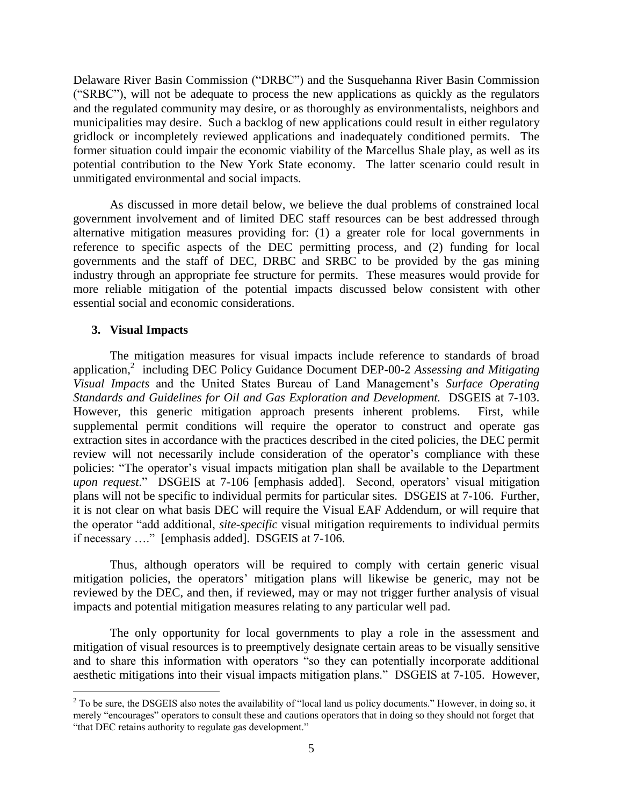Delaware River Basin Commission ("DRBC") and the Susquehanna River Basin Commission ("SRBC"), will not be adequate to process the new applications as quickly as the regulators and the regulated community may desire, or as thoroughly as environmentalists, neighbors and municipalities may desire. Such a backlog of new applications could result in either regulatory gridlock or incompletely reviewed applications and inadequately conditioned permits. The former situation could impair the economic viability of the Marcellus Shale play, as well as its potential contribution to the New York State economy. The latter scenario could result in unmitigated environmental and social impacts.

As discussed in more detail below, we believe the dual problems of constrained local government involvement and of limited DEC staff resources can be best addressed through alternative mitigation measures providing for: (1) a greater role for local governments in reference to specific aspects of the DEC permitting process, and (2) funding for local governments and the staff of DEC, DRBC and SRBC to be provided by the gas mining industry through an appropriate fee structure for permits. These measures would provide for more reliable mitigation of the potential impacts discussed below consistent with other essential social and economic considerations.

### **3. Visual Impacts**

 $\overline{a}$ 

The mitigation measures for visual impacts include reference to standards of broad application, 2 including DEC Policy Guidance Document DEP-00-2 *Assessing and Mitigating Visual Impacts* and the United States Bureau of Land Management's *Surface Operating Standards and Guidelines for Oil and Gas Exploration and Development.* DSGEIS at 7-103. However, this generic mitigation approach presents inherent problems. First, while supplemental permit conditions will require the operator to construct and operate gas extraction sites in accordance with the practices described in the cited policies, the DEC permit review will not necessarily include consideration of the operator's compliance with these policies: "The operator's visual impacts mitigation plan shall be available to the Department *upon request*." DSGEIS at 7-106 [emphasis added]. Second, operators' visual mitigation plans will not be specific to individual permits for particular sites. DSGEIS at 7-106. Further, it is not clear on what basis DEC will require the Visual EAF Addendum, or will require that the operator "add additional, *site-specific* visual mitigation requirements to individual permits if necessary …." [emphasis added]. DSGEIS at 7-106.

Thus, although operators will be required to comply with certain generic visual mitigation policies, the operators' mitigation plans will likewise be generic, may not be reviewed by the DEC, and then, if reviewed, may or may not trigger further analysis of visual impacts and potential mitigation measures relating to any particular well pad.

The only opportunity for local governments to play a role in the assessment and mitigation of visual resources is to preemptively designate certain areas to be visually sensitive and to share this information with operators "so they can potentially incorporate additional aesthetic mitigations into their visual impacts mitigation plans." DSGEIS at 7-105. However,

 $2^2$  To be sure, the DSGEIS also notes the availability of "local land us policy documents." However, in doing so, it merely "encourages" operators to consult these and cautions operators that in doing so they should not forget that "that DEC retains authority to regulate gas development."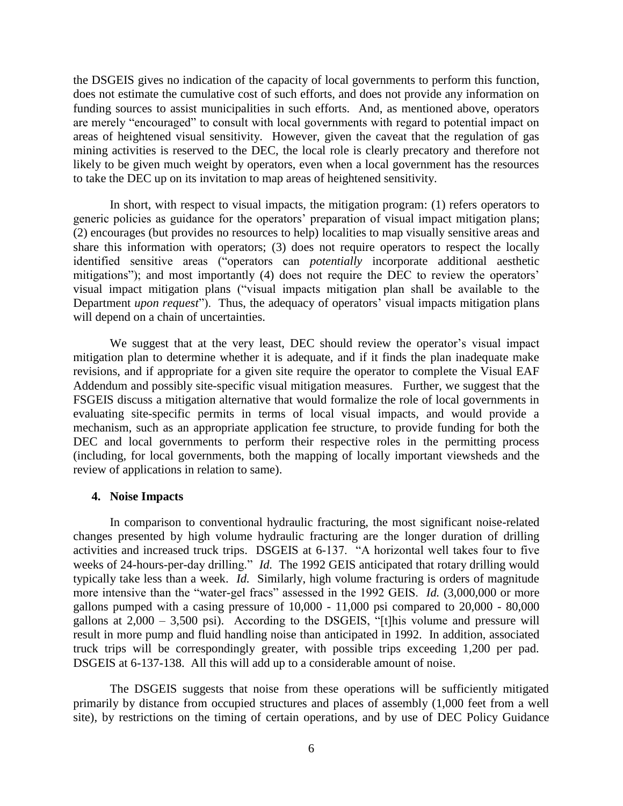the DSGEIS gives no indication of the capacity of local governments to perform this function, does not estimate the cumulative cost of such efforts, and does not provide any information on funding sources to assist municipalities in such efforts. And, as mentioned above, operators are merely "encouraged" to consult with local governments with regard to potential impact on areas of heightened visual sensitivity. However, given the caveat that the regulation of gas mining activities is reserved to the DEC, the local role is clearly precatory and therefore not likely to be given much weight by operators, even when a local government has the resources to take the DEC up on its invitation to map areas of heightened sensitivity.

In short, with respect to visual impacts, the mitigation program: (1) refers operators to generic policies as guidance for the operators' preparation of visual impact mitigation plans; (2) encourages (but provides no resources to help) localities to map visually sensitive areas and share this information with operators; (3) does not require operators to respect the locally identified sensitive areas ("operators can *potentially* incorporate additional aesthetic mitigations"); and most importantly (4) does not require the DEC to review the operators' visual impact mitigation plans ("visual impacts mitigation plan shall be available to the Department *upon request*"). Thus, the adequacy of operators' visual impacts mitigation plans will depend on a chain of uncertainties.

We suggest that at the very least, DEC should review the operator's visual impact mitigation plan to determine whether it is adequate, and if it finds the plan inadequate make revisions, and if appropriate for a given site require the operator to complete the Visual EAF Addendum and possibly site-specific visual mitigation measures. Further, we suggest that the FSGEIS discuss a mitigation alternative that would formalize the role of local governments in evaluating site-specific permits in terms of local visual impacts, and would provide a mechanism, such as an appropriate application fee structure, to provide funding for both the DEC and local governments to perform their respective roles in the permitting process (including, for local governments, both the mapping of locally important viewsheds and the review of applications in relation to same).

#### **4. Noise Impacts**

In comparison to conventional hydraulic fracturing, the most significant noise-related changes presented by high volume hydraulic fracturing are the longer duration of drilling activities and increased truck trips. DSGEIS at 6-137. "A horizontal well takes four to five weeks of 24-hours-per-day drilling." *Id.* The 1992 GEIS anticipated that rotary drilling would typically take less than a week. *Id.* Similarly, high volume fracturing is orders of magnitude more intensive than the "water-gel fracs" assessed in the 1992 GEIS. *Id.* (3,000,000 or more gallons pumped with a casing pressure of  $10,000 - 11,000$  psi compared to  $20,000 - 80,000$ gallons at  $2,000 - 3,500$  psi). According to the DSGEIS, "[t]his volume and pressure will result in more pump and fluid handling noise than anticipated in 1992. In addition, associated truck trips will be correspondingly greater, with possible trips exceeding 1,200 per pad. DSGEIS at 6-137-138. All this will add up to a considerable amount of noise.

The DSGEIS suggests that noise from these operations will be sufficiently mitigated primarily by distance from occupied structures and places of assembly (1,000 feet from a well site), by restrictions on the timing of certain operations, and by use of DEC Policy Guidance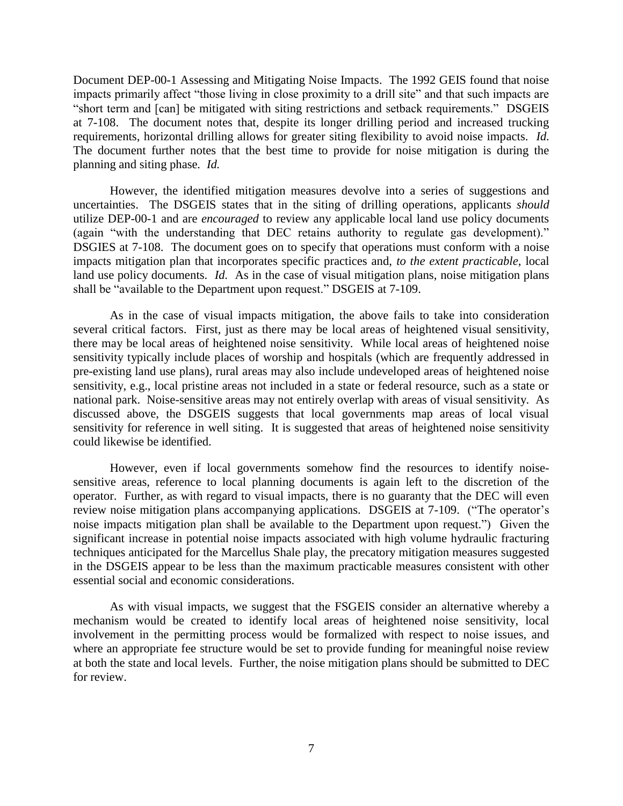Document DEP-00-1 Assessing and Mitigating Noise Impacts. The 1992 GEIS found that noise impacts primarily affect "those living in close proximity to a drill site" and that such impacts are "short term and [can] be mitigated with siting restrictions and setback requirements." DSGEIS at 7-108. The document notes that, despite its longer drilling period and increased trucking requirements, horizontal drilling allows for greater siting flexibility to avoid noise impacts. *Id.* The document further notes that the best time to provide for noise mitigation is during the planning and siting phase*. Id.*

However, the identified mitigation measures devolve into a series of suggestions and uncertainties. The DSGEIS states that in the siting of drilling operations, applicants *should* utilize DEP-00-1 and are *encouraged* to review any applicable local land use policy documents (again "with the understanding that DEC retains authority to regulate gas development)." DSGIES at 7-108. The document goes on to specify that operations must conform with a noise impacts mitigation plan that incorporates specific practices and, *to the extent practicable*, local land use policy documents. *Id.* As in the case of visual mitigation plans, noise mitigation plans shall be "available to the Department upon request." DSGEIS at 7-109.

As in the case of visual impacts mitigation, the above fails to take into consideration several critical factors. First, just as there may be local areas of heightened visual sensitivity, there may be local areas of heightened noise sensitivity. While local areas of heightened noise sensitivity typically include places of worship and hospitals (which are frequently addressed in pre-existing land use plans), rural areas may also include undeveloped areas of heightened noise sensitivity, e.g., local pristine areas not included in a state or federal resource, such as a state or national park. Noise-sensitive areas may not entirely overlap with areas of visual sensitivity. As discussed above, the DSGEIS suggests that local governments map areas of local visual sensitivity for reference in well siting. It is suggested that areas of heightened noise sensitivity could likewise be identified.

However, even if local governments somehow find the resources to identify noisesensitive areas, reference to local planning documents is again left to the discretion of the operator. Further, as with regard to visual impacts, there is no guaranty that the DEC will even review noise mitigation plans accompanying applications. DSGEIS at 7-109. ("The operator's noise impacts mitigation plan shall be available to the Department upon request.") Given the significant increase in potential noise impacts associated with high volume hydraulic fracturing techniques anticipated for the Marcellus Shale play, the precatory mitigation measures suggested in the DSGEIS appear to be less than the maximum practicable measures consistent with other essential social and economic considerations.

As with visual impacts, we suggest that the FSGEIS consider an alternative whereby a mechanism would be created to identify local areas of heightened noise sensitivity, local involvement in the permitting process would be formalized with respect to noise issues, and where an appropriate fee structure would be set to provide funding for meaningful noise review at both the state and local levels. Further, the noise mitigation plans should be submitted to DEC for review.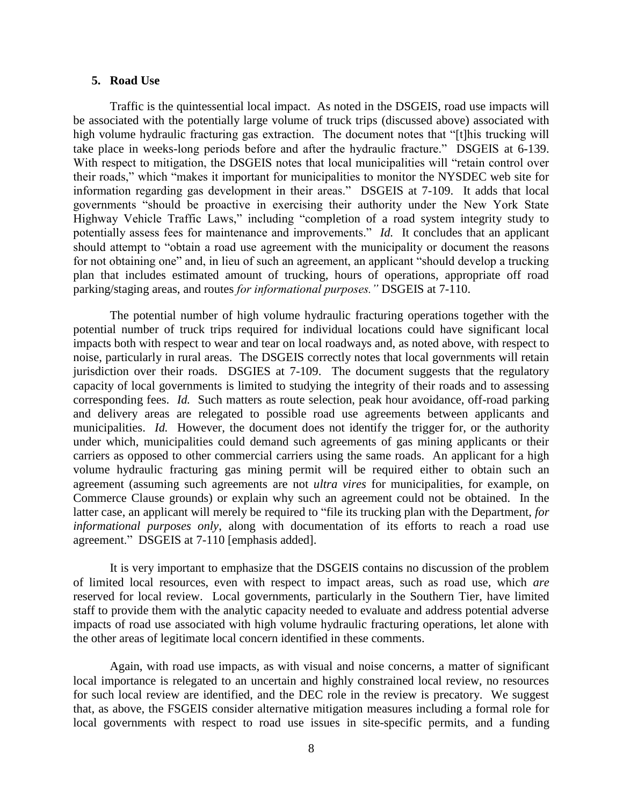#### **5. Road Use**

Traffic is the quintessential local impact. As noted in the DSGEIS, road use impacts will be associated with the potentially large volume of truck trips (discussed above) associated with high volume hydraulic fracturing gas extraction. The document notes that "[t]his trucking will take place in weeks-long periods before and after the hydraulic fracture." DSGEIS at 6-139. With respect to mitigation, the DSGEIS notes that local municipalities will "retain control over their roads," which "makes it important for municipalities to monitor the NYSDEC web site for information regarding gas development in their areas." DSGEIS at 7-109. It adds that local governments "should be proactive in exercising their authority under the New York State Highway Vehicle Traffic Laws," including "completion of a road system integrity study to potentially assess fees for maintenance and improvements." *Id.* It concludes that an applicant should attempt to "obtain a road use agreement with the municipality or document the reasons for not obtaining one" and, in lieu of such an agreement, an applicant "should develop a trucking plan that includes estimated amount of trucking, hours of operations, appropriate off road parking/staging areas, and routes *for informational purposes."* DSGEIS at 7-110.

The potential number of high volume hydraulic fracturing operations together with the potential number of truck trips required for individual locations could have significant local impacts both with respect to wear and tear on local roadways and, as noted above, with respect to noise, particularly in rural areas. The DSGEIS correctly notes that local governments will retain jurisdiction over their roads. DSGIES at 7-109. The document suggests that the regulatory capacity of local governments is limited to studying the integrity of their roads and to assessing corresponding fees. *Id.* Such matters as route selection, peak hour avoidance, off-road parking and delivery areas are relegated to possible road use agreements between applicants and municipalities. *Id.* However, the document does not identify the trigger for, or the authority under which, municipalities could demand such agreements of gas mining applicants or their carriers as opposed to other commercial carriers using the same roads. An applicant for a high volume hydraulic fracturing gas mining permit will be required either to obtain such an agreement (assuming such agreements are not *ultra vires* for municipalities, for example, on Commerce Clause grounds) or explain why such an agreement could not be obtained. In the latter case, an applicant will merely be required to "file its trucking plan with the Department, *for informational purposes only*, along with documentation of its efforts to reach a road use agreement." DSGEIS at 7-110 [emphasis added].

It is very important to emphasize that the DSGEIS contains no discussion of the problem of limited local resources, even with respect to impact areas, such as road use, which *are* reserved for local review. Local governments, particularly in the Southern Tier, have limited staff to provide them with the analytic capacity needed to evaluate and address potential adverse impacts of road use associated with high volume hydraulic fracturing operations, let alone with the other areas of legitimate local concern identified in these comments.

Again, with road use impacts, as with visual and noise concerns, a matter of significant local importance is relegated to an uncertain and highly constrained local review, no resources for such local review are identified, and the DEC role in the review is precatory. We suggest that, as above, the FSGEIS consider alternative mitigation measures including a formal role for local governments with respect to road use issues in site-specific permits, and a funding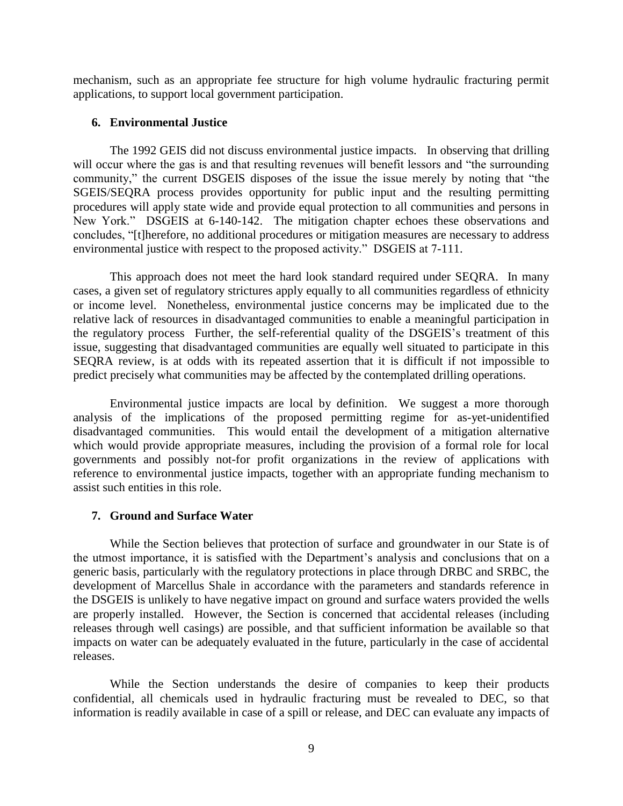mechanism, such as an appropriate fee structure for high volume hydraulic fracturing permit applications, to support local government participation.

### **6. Environmental Justice**

The 1992 GEIS did not discuss environmental justice impacts. In observing that drilling will occur where the gas is and that resulting revenues will benefit lessors and "the surrounding" community," the current DSGEIS disposes of the issue the issue merely by noting that "the SGEIS/SEQRA process provides opportunity for public input and the resulting permitting procedures will apply state wide and provide equal protection to all communities and persons in New York." DSGEIS at 6-140-142. The mitigation chapter echoes these observations and concludes, "[t]herefore, no additional procedures or mitigation measures are necessary to address environmental justice with respect to the proposed activity." DSGEIS at 7-111.

This approach does not meet the hard look standard required under SEQRA. In many cases, a given set of regulatory strictures apply equally to all communities regardless of ethnicity or income level. Nonetheless, environmental justice concerns may be implicated due to the relative lack of resources in disadvantaged communities to enable a meaningful participation in the regulatory process Further, the self-referential quality of the DSGEIS's treatment of this issue, suggesting that disadvantaged communities are equally well situated to participate in this SEQRA review, is at odds with its repeated assertion that it is difficult if not impossible to predict precisely what communities may be affected by the contemplated drilling operations.

Environmental justice impacts are local by definition. We suggest a more thorough analysis of the implications of the proposed permitting regime for as-yet-unidentified disadvantaged communities. This would entail the development of a mitigation alternative which would provide appropriate measures, including the provision of a formal role for local governments and possibly not-for profit organizations in the review of applications with reference to environmental justice impacts, together with an appropriate funding mechanism to assist such entities in this role.

### **7. Ground and Surface Water**

While the Section believes that protection of surface and groundwater in our State is of the utmost importance, it is satisfied with the Department's analysis and conclusions that on a generic basis, particularly with the regulatory protections in place through DRBC and SRBC, the development of Marcellus Shale in accordance with the parameters and standards reference in the DSGEIS is unlikely to have negative impact on ground and surface waters provided the wells are properly installed. However, the Section is concerned that accidental releases (including releases through well casings) are possible, and that sufficient information be available so that impacts on water can be adequately evaluated in the future, particularly in the case of accidental releases.

While the Section understands the desire of companies to keep their products confidential, all chemicals used in hydraulic fracturing must be revealed to DEC, so that information is readily available in case of a spill or release, and DEC can evaluate any impacts of